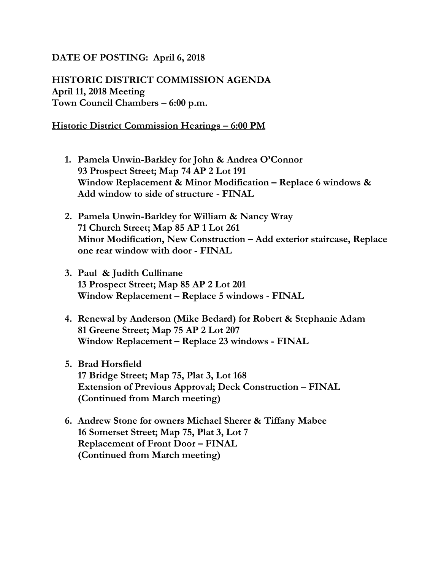## **DATE OF POSTING: April 6, 2018**

**HISTORIC DISTRICT COMMISSION AGENDA April 11, 2018 Meeting Town Council Chambers – 6:00 p.m.**

## **Historic District Commission Hearings – 6:00 PM**

- **1. Pamela Unwin-Barkley for John & Andrea O'Connor 93 Prospect Street; Map 74 AP 2 Lot 191 Window Replacement & Minor Modification – Replace 6 windows & Add window to side of structure - FINAL**
- **2. Pamela Unwin-Barkley for William & Nancy Wray 71 Church Street; Map 85 AP 1 Lot 261 Minor Modification, New Construction – Add exterior staircase, Replace one rear window with door - FINAL**
- **3. Paul & Judith Cullinane 13 Prospect Street; Map 85 AP 2 Lot 201 Window Replacement – Replace 5 windows - FINAL**
- **4. Renewal by Anderson (Mike Bedard) for Robert & Stephanie Adam 81 Greene Street; Map 75 AP 2 Lot 207 Window Replacement – Replace 23 windows - FINAL**
- **5. Brad Horsfield 17 Bridge Street; Map 75, Plat 3, Lot 168 Extension of Previous Approval; Deck Construction – FINAL (Continued from March meeting)**
- **6. Andrew Stone for owners Michael Sherer & Tiffany Mabee 16 Somerset Street; Map 75, Plat 3, Lot 7 Replacement of Front Door – FINAL (Continued from March meeting)**